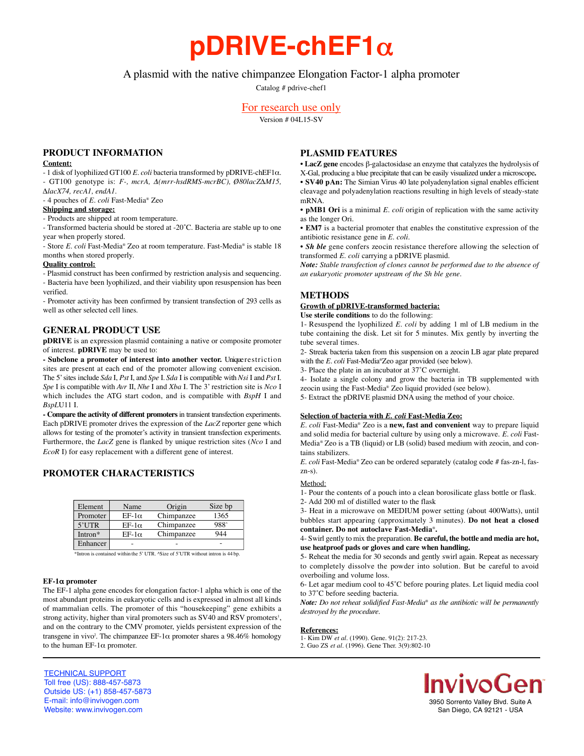# **pDRIVE-chEF1**α

# A plasmid with the native chimpanzee Elongation Factor-1 alpha promoter

Catalog # pdrive-chef1

# For research use only

Version # 04L15-SV

# **PRODUCT INFORMATION**

## **Content:**

- 1 disk of lyophilized GT100 *E. coli* bacteria transformed by pDRIVE-chEF1α. - GT100 genotype is: *F-, mcrA,* Δ*(mrr-hsdRMS-mcrBC), Ø80lacZ∆M15,*

*∆lacX74, recA1, endA1.* - 4 pouches of *E. coli* Fast-Media® Zeo

#### **Shipping and storage:**

- Products are shipped at room temperature.

- Transformed bacteria should be stored at -20˚C. Bacteria are stable up to one year when properly stored.

- Store *E. coli* Fast-Media® Zeo at room temperature. Fast-Media® is stable 18 months when stored properly.

## **Quality control:**

- Plasmid construct has been confirmed by restriction analysis and sequencing. - Bacteria have been lyophilized, and their viability upon resuspension has been verified.

- Promoter activity has been confirmed by transient transfection of 293 cells as well as other selected cell lines.

## **GENERAL PRODUCT USE**

**pDRIVE** is an expression plasmid containing a native or composite promoter of interest. **pDRIVE** may be used to:

- Subclone a promoter of interest into another vector. Unique restriction sites are present at each end of the promoter allowing convenient excision. The 5' sites include *Sda* I, *Pst* I, and *Spe* I. *Sda* I is compatible with *Nsi* I and *Pst* I. *Spe* I is compatible with *Avr* II, *Nhe* I and *Xba* I. The 3' restriction site is *Nco* I which includes the ATG start codon, and is compatible with *BspH* I and *BspL*U11 I.

- Compare the activity of different promoters in transient transfection experiments. Each pDRIVE promoter drives the expression of the *LacZ* reporter gene which allows for testing of the promoter's activity in transient transfection experiments. Furthermore, the *LacZ* gene is flanked by unique restriction sites (*Nco* I and *EcoR* I) for easy replacement with a different gene of interest.

# **PROMOTER CHARACTERISTICS**

| Element  | Name         | Origin     | Size bp |
|----------|--------------|------------|---------|
| Promoter | $EF-1\alpha$ | Chimpanzee | 1365    |
| $5'$ UTR | $EF-1\alpha$ | Chimpanzee | 988^    |
| Intron*  | $EF-1\alpha$ | Chimpanzee | 944     |
| Enhancer |              |            |         |

\*Intron is contained within the 5' UTR. ^Size of 5'UTR without intron is 44 bp.

#### **EF-1**α **promoter**

The EF-1 alpha gene encodes for elongation factor-1 alpha which is one of the most abundant proteins in eukaryotic cells and is expressed in almost all kinds of mammalian cells. The promoter of this "housekeeping" gene exhibits a strong activity, higher than viral promoters such as SV40 and RSV promoters<sup>1</sup>, and on the contrary to the CMV promoter, yields persistent expression of the transgene in vivo<sup>2</sup>. The chimpanzee EF-1 $\alpha$  promoter shares a 98.46% homology to the human EF-1 $\alpha$  promoter.

# **PLASMID FEATURES**

• **LacZ gene** encodes β-galactosidase an enzyme that catalyzes the hydrolysis of X-Gal, producing a blue precipitate that can be easily visualized under a microscope**.** • **SV40 pAn:** The Simian Virus 40 late polyadenylation signal enables efficient cleavage and polyadenylation reactions resulting in high levels of steady-state mRNA.

• **pMB1 Ori** is a minimal *E. coli* origin of replication with the same activity as the longer Ori.

• **EM7** is a bacterial promoter that enables the constitutive expression of the antibiotic resistance gene in *E. coli.*

• *Sh ble* gene confers zeocin resistance therefore allowing the selection of transformed *E. coli* carrying a pDRIVE plasmid.

*Note: Stable transfection of clones cannot be performed due to the absence of an eukaryotic promoter upstream of the Sh ble gene.*

# **METHODS**

# **Growth of pDRIVE-transformed bacteria:**

**Use sterile conditions** to do the following:

1- Resuspend the lyophilized *E. coli* by adding 1 ml of LB medium in the tube containing the disk. Let sit for 5 minutes. Mix gently by inverting the tube several times.

2- Streak bacteria taken from this suspension on a zeocin LB agar plate prepared with the *E. coli* Fast-Media®Zeo agar provided (see below).

3- Place the plate in an incubator at 37˚C overnight.

4- Isolate a single colony and grow the bacteria in TB supplemented with zeocin using the Fast-Media® Zeo liquid provided (see below).

5- Extract the pDRIVE plasmid DNA using the method of your choice.

## **Selection of bacteria with** *E. coli* **Fast-Media Zeo:**

*E. coli* Fast-Media® Zeo is a **new, fast and convenient** way to prepare liquid and solid media for bacterial culture by using only a microwave. *E. coli* Fast-Media® Zeo is a TB (liquid) or LB (solid) based medium with zeocin, and contains stabilizers.

*E. coli* Fast-Media® Zeo can be ordered separately (catalog code # fas-zn-l, faszn-s).

#### Method:

1- Pour the contents of a pouch into a clean borosilicate glass bottle or flask. 2- Add 200 ml of distilled water to the flask

3- Heat in a microwave on MEDIUM power setting (about 400Watts), until bubbles start appearing (approximately 3 minutes). **Do not heat a closed** container. Do not autoclave Fast-Media<sup>®</sup>.

4- Swirl gently to mix the preparation. **Be careful, the bottle and media are hot, use heatproof pads or gloves and care when handling.**

5- Reheat the media for 30 seconds and gently swirl again. Repeat as necessary to completely dissolve the powder into solution. But be careful to avoid overboiling and volume loss.

6- Let agar medium cool to 45˚C before pouring plates. Let liquid media cool to 37˚C before seeding bacteria.

*Note: Do not reheat solidified Fast-Media® as the antibiotic will be permanently destroyed by the procedure.* 

#### **References:**

1- Kim DW *et al*. (1990). Gene. 91(2): 217-23. 2. Guo ZS *et al.* (1996). Gene Ther. 3(9):802-10

> **ivivoGen** 3950 Sorrento Valley Blvd. Suite A San Diego, CA 92121 - USA

TECHNICAL SUPPORT Toll free (US): 888-457-5873 Outside US: (+1) 858-457-5873 E-mail: info@invivogen.com Website: www.invivogen.com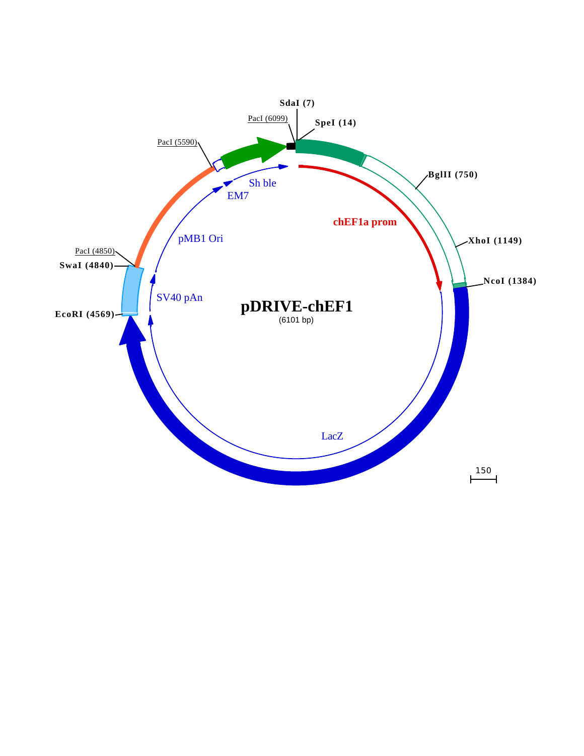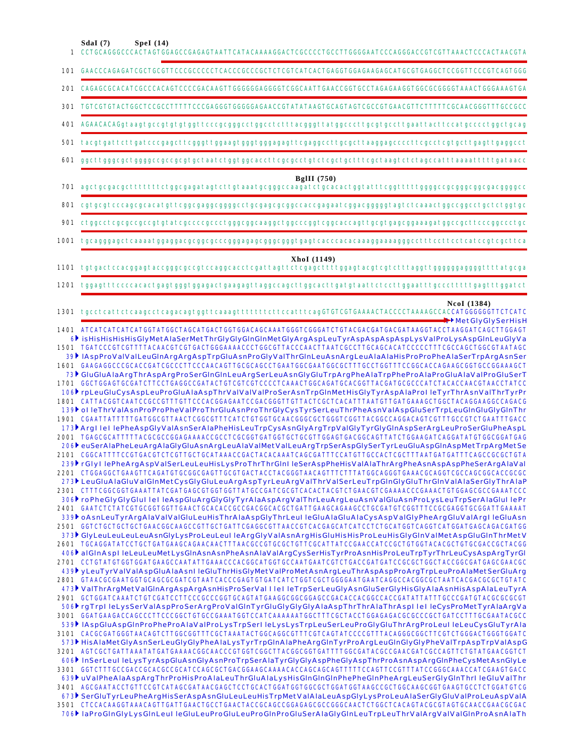|     | SdaI(7)<br>Spel(14)<br>1 CCTGCAGGGCCCACTAGTGGAGCCGAGAGTAATTCATACAAAAGGACTCGCCCCTGCCTTGGGGAATCCCAGGGACCGTCGTTAAACTCCCACTAACGTA                                                                                                       |
|-----|-------------------------------------------------------------------------------------------------------------------------------------------------------------------------------------------------------------------------------------|
|     |                                                                                                                                                                                                                                     |
|     | 201 CAGAGCGCACATCGCCCACAGTCCCCGACAAGTTGGGGGGAGGGGTCGGCAATTGAACCGGTGCCTAGAGAAGGTGCCGCGGGGTAAACTGGGAAAGTGA                                                                                                                            |
|     | 301 TGTCGTGTACTGGCTCCGCCTTTTTCCCGAGGGTGGGGAGAACCGTATATAAGTGCAGTAGTCGCCGTGAACGTTCTTTTTCGCAACGGGTTTGCCGCC                                                                                                                             |
|     | 401 AGAACACAGgtaagtgccgtgtgtggttcccgcgggcctggcctctttacgggttatggcccttgcgtgccttgaattacttccatgcccctggctgcag                                                                                                                            |
|     |                                                                                                                                                                                                                                     |
| 601 | $gg$ ctt $gg$ gcgctg $gg$ gccg $cc$ gcgtgctaat $ct$ ggtggca $c$ ctt $cc$ gcg $c$ ct $g$ t $ct$ cg $ct$ gcttt $cc$ aa $gt$ ct $ct$ a $g$ c $ct$ ttaa $a$ attttt $g$ ataa $cc$                                                        |
|     | BgIII $(750)$                                                                                                                                                                                                                       |
|     | 701 agctgcgacgctttttttctggcgagatagtcttgtaaatgcgggccaagatctgcacactggtatttcggtttttggggccgcggggcgacggggcc                                                                                                                              |
|     |                                                                                                                                                                                                                                     |
|     | 901 ctggcctcgcgccgccgtgtatcgccccgccctgggcggcaaggctggcccggtcggcaccagttgcgtgagcggaaagatggccgcttcccggccctgc                                                                                                                            |
|     |                                                                                                                                                                                                                                     |
|     | XhoI (1149)                                                                                                                                                                                                                         |
|     | 1201 tggagtttccccacactgagtgggtggagactgaagagttaggccagcttggcacttgatgtaattctccttggaatttgccctttttgagtttggatct                                                                                                                           |
|     | NcoI (1384)<br>1301 tgcctcattctcaagcctcagacagtggttcaaagtttttttcttccatttcagGTGTCGTGAAAACTACCCCTAAAAGCCACCATGGGGGGTTCTCATC                                                                                                            |
|     | <b>■→</b> MetGlyGlySerHisH<br>1401 ATCATCATCATCATGGTATGGCTAGCATGACTGGTGGACAGCAAATGGGTCGGGATCTGTACGACGATGACGATAAGGTACCTAAGGATCAGCTTGGAGT                                                                                             |
|     | 6 <sup>}</sup> isHisHisHisHisGlyMetAlaSerMetThrGlyGlyGlnGlnMetGlyArgAspLeuTyrAspAspAspAspLysValProLysAspGlnLeuGlyVa<br>1501 TGATCCCGTCGTTTTACAACGTCGTGACTGGGAAAACCCTGGCGTTACCCAACTTAATCGCCTTGCAGCACATCCCCCTTTCGCCAGCTGGCGTAATAGC    |
|     | 39▶lAspProValValLeuGlnArgArgAspTrpGluAsnProGlyValThrGlnLeuAsnArgLeuAlaAlaHisProProPheAlaSerTrpArgAsnSer                                                                                                                             |
|     | 1601 GAAGAGGCCCGCACCGATCGCCCTTCCCAACAGTTGCGCAGCCTGAATGGCGAATGGCGCTTTGCCTGGTTTCCGGCACCAGAAGCGGTGCCGGAAAGCT<br>73) GluGluAlaArgThrAspArgProSerGlnGlnLeuArgSerLeuAsnGlyGluTrpArgPheAlaTrpPheProAlaProGluAlaValProGluSerT               |
|     | 1701 GGCTGGAGTGCGATCTTCCTGAGGCCGATACTGTCGTCGTCCCCCTCAAACTGGCAGATGCACGGTTACGATGCGCCCATCTACACCAACGTAACCTATCC<br>106 rpLeuGluCysAspLeuProGluAlaAspThrValValValProSerAsnTrpGlnMetHisGlyTyrAspAlaProlleTyrThrAsnValThrTyrPr              |
|     | 1801 CATTACGGTCAATCCGCCGTTTGTTCCCACGGAGAATCCGACGGGTTGTTACTCGCTCACATTTAATGTTGATGAAAGCTGGCTACAGGAAGGCCAGACG                                                                                                                           |
|     | 139 olleThrValAsnProProPheValProThrGluAsnProThrGlyCysTyrSerLeuThrPheAsnValAspGluSerTrpLeuGlnGluGlyGlnThr<br>1901 CGAATTATTTTTGATGGCGTTAACTCGGCGTTTCATCTGTGGTGCAACGGGCGCTGGGTCGGTTACGGCCAGGACAGTCGTTTGCCGTCTGAATTTGACC               |
|     | 173 Argl lei lePheAspGlyValAsnSerAlaPheHisLeuTrpCysAsnGlyArgTrpValGlyTyrGlyGlnAspSerArgLeuProSerGluPheAspL<br>2001 TGAGCGCATTTTTACGCGCCGGAGAAAACCGCCTCGCGGTGATGGTGCTGCGTTGGAGTGACGGCAGTTATCTGGAAGATCAGGATATGTGGCGGATGAG             |
|     | 206 euSerAlaPheLeuArgAlaGlyGluAsnArgLeuAlaValMetValLeuArgTrpSerAspGlySerTyrLeuGluAspGlnAspMetTrpArgMetSe                                                                                                                            |
|     | 2101  CGGCATTTTCCGTGACGTCTCGTTGCTGCATAAACCGACTACACAAATCAGCGATTTCCATGTTGCCACTCGCTTTAATGATGATTTCAGCCGCGCTGTA<br>239 rGlyl lePheArgAspValSerLeuLeuHisLysProThrThrGlnl leSerAspPheHisValAlaThrArgPheAsnAspAspPheSerArgAlaVal            |
|     |                                                                                                                                                                                                                                     |
|     | 273 LeuGluAlaGluValGlnMetCysGlyGluLeuArgAspTyrLeuArgValThrValSerLeuTrpGlnGlyGluThrGlnValAlaSerGlyThrAlaP<br>2301 CTTTCGGCGGTGAAATTATCGATGAGCGTGGTGGTTATGCCGATCGCGTCACACTACGTCTGAACGTCGAAAACCCGAAACTGTGGAGCGCCGAAATCCC               |
|     | 306 roPheGlyGlyGlul lel leAspGluArgGlyGlyTyrAlaAspArgValThrLeuArgLeuAsnValGluAsnProLysLeuTrpSerAlaGlul lePr                                                                                                                         |
|     | 2401 GAATCTCTATCGTGCGGTGGTTGAACTGCACACCGCCGACGGCACGCTGATTGAAGCAGAAGCCTGCGATGTCGGTTTCCGCGAGGTGCGGATTGAAAAT<br>339 oAsnLeuTyrArgAlaValValGluLeuHisThrAlaAspGlyThrLeul leGluAlaGluAlaCysAspValGlyPheArgGluValArgl leGluAsn             |
|     | 2501 GGTCTGCTGCTGCTGAACGGCAAGCCGTTGCTGATTCGAGGCGTTAACCGTCACGAGCATCATCCTCTGCATGGTCAGGTCATGGATGAGCAGACGATGG<br>373 <sup>b</sup> GlyLeuLeuLeuLeuAsnGlyLysProLeuLeul leArgGlyValAsnArgHisGluHisHisProLeuHisGlyGlnValMetAspGluGlnThrMetV |
|     | 2601 TGCAGGATATCCTGCTGATGAAGCAGAACAACTTTAACGCCGTGCGCTGTTCGCATTATCCGAACCATCCGCTGTGGTACACGCTGTGCGACCGCTACGG                                                                                                                           |
|     | 406 alGInAspl leLeuLeuMetLysGInAsnAsnPheAsnAlaValArgCysSerHisTyrProAsnHisProLeuTrpTyrThrLeuCysAspArgTyrGI<br>2701 CCTGTATGTGGTGGATGAAGCCAATATTGAAACCCACGGCATGGTGCCAATGAATCGTCTGACCGATGATCCGCGCTGGCTACCGGCGATGAGCGAACGC              |
|     | 439 yLeuTyrValValAspGluAlaAsnl leGluThrHisGlyMetValProMetAsnArgLeuThrAspAspProArgTrpLeuProAlaMetSerGluArg                                                                                                                           |
|     | 473 ValThrArgMetValGlnArgAspArgAsnHisProSerVal I lel leTrpSerLeuGlyAsnGluSerGlyHisGlyAlaAsnHisAspAlaLeuTyrA                                                                                                                         |
|     |                                                                                                                                                                                                                                     |
|     | 506 rgTrpl leLysSerValAspProSerArgProValGInTyrGluGlyGlyGlyAlaAspThrThrAlaThrAspl lel leCysProMetTyrAlaArgVa<br>3001 GGATGAAGACCAGCCCTTCCCGGCTGTGCCGAAATGGTCCATCAAAAAATGGCTTTCGCTACCTGGAGAGACGCCCCCGCTGATCCTTTGCGAATACGCC            |
|     | 539 HaspGluAspGlnProPheProAlaValProLysTrpSerl leLysLysTrpLeuSerLeuProGlyGluThrArgProLeul leLeuCysGluTyrAla                                                                                                                          |
|     | 3101  CACGCGATGGGTAACAGTCTTGGCGGTTTCGCTAAATACTGGCAGGCGTTTCGTCAGTATCCCCGTTTACAGGGCGGCTTCGTCTGGGACTGGGTGGATC<br>573 HisAlaMetGlyAsnSerLeuGlyGlyPheAlaLysTyrTrpGlnAlaPheArgGlnTyrProArgLeuGlnGlyGlyPheValTrpAspTrpValAspG              |
|     | 3201 AGTCGCTGATTAAATATGATGAAAACGGCAACCCGTGGTCGGCTTACGGCGGTGATTTTGGCGATACGCCGAACGATCGCCAGTTCTGTATGAACGGTCT<br>606 InSerLeul leLysTyrAspGluAsnGlyAsnProTrpSerAlaTyrGlyGlyAspPheGlyAspThrProAsnAspArgGlnPheCysMetAsnGlyLe              |
|     | 3301 GGTCTTTGCCGACCGCACGCCGCATCCAGCGCTGACGGAAGCAAAACACCAGCAGTATTTTCCAGTTCCGTTTATCCGGCAAACCATCGAAGTGACC                                                                                                                              |
|     | 639 uValPheAlaAspArgThrProHisProAlaLeuThrGluAlaLysHisGlnGlnGlnPhePheGlnPheArgLeuSerGlyGlnThrI leGluValThr<br>3401 AGCGAATACCTGTTCCGTCATAGCGATAACGAGCTCCTGCACTGGATGGTGGCGCTGGATGGTAAGCCGCTGGCAAGCGGTGAAGTGCCTCTGGATGTCG              |
|     | 673 SerGluTyrLeuPheArgHisSerAspAsnGluLeuLeuHisTrpMetValAlaLeuAspGlyLysProLeuAlaSerGlyGluValProLeuAspValA                                                                                                                            |
|     | 3501 CTCCACAAGGTAAACAGTTGATTGAACTGCCTGAACTACCGCAGCCGGAGAGCGCCGGGCAACTCTGGCTCACAGTACGCGTAGTGCAACCGAACGCGAC<br>706 laProGInGlyLysGInLeul leGIuLeuProGIuLeuProGInProGIuSerAlaGlyGInLeuTrpLeuThrValArgValValGInProAsnAlaTh              |